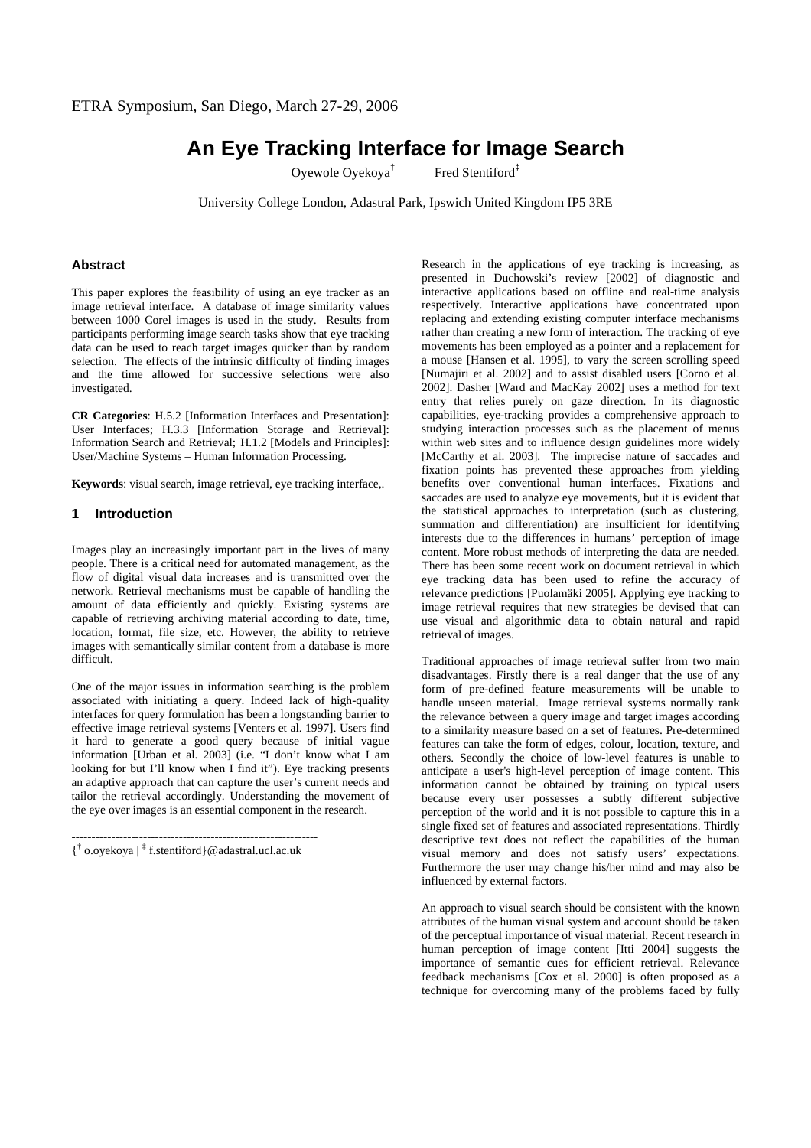# **An Eye Tracking Interface for Image Search**

Oyewole Oyekoya†

Fred Stentiford<sup>‡</sup>

University College London, Adastral Park, Ipswich United Kingdom IP5 3RE

#### **Abstract**

This paper explores the feasibility of using an eye tracker as an image retrieval interface. A database of image similarity values between 1000 Corel images is used in the study. Results from participants performing image search tasks show that eye tracking data can be used to reach target images quicker than by random selection. The effects of the intrinsic difficulty of finding images and the time allowed for successive selections were also investigated.

**CR Categories**: H.5.2 [Information Interfaces and Presentation]: User Interfaces; H.3.3 [Information Storage and Retrieval]: Information Search and Retrieval; H.1.2 [Models and Principles]: User/Machine Systems – Human Information Processing.

**Keywords**: visual search, image retrieval, eye tracking interface,.

#### **1 Introduction**

Images play an increasingly important part in the lives of many people. There is a critical need for automated management, as the flow of digital visual data increases and is transmitted over the network. Retrieval mechanisms must be capable of handling the amount of data efficiently and quickly. Existing systems are capable of retrieving archiving material according to date, time, location, format, file size, etc. However, the ability to retrieve images with semantically similar content from a database is more difficult.

One of the major issues in information searching is the problem associated with initiating a query. Indeed lack of high-quality interfaces for query formulation has been a longstanding barrier to effective image retrieval systems [Venters et al. 1997]. Users find it hard to generate a good query because of initial vague information [Urban et al. 2003] (i.e. "I don't know what I am looking for but I'll know when I find it"). Eye tracking presents an adaptive approach that can capture the user's current needs and tailor the retrieval accordingly. Understanding the movement of the eye over images is an essential component in the research.

-------------------------------------------------------------- { † o.oyekoya | ‡ f.stentiford}@adastral.ucl.ac.uk

Research in the applications of eye tracking is increasing, as presented in Duchowski's review [2002] of diagnostic and interactive applications based on offline and real-time analysis respectively. Interactive applications have concentrated upon replacing and extending existing computer interface mechanisms rather than creating a new form of interaction. The tracking of eye movements has been employed as a pointer and a replacement for a mouse [Hansen et al. 1995], to vary the screen scrolling speed [Numajiri et al. 2002] and to assist disabled users [Corno et al. 2002]. Dasher [Ward and MacKay 2002] uses a method for text entry that relies purely on gaze direction. In its diagnostic capabilities, eye-tracking provides a comprehensive approach to studying interaction processes such as the placement of menus within web sites and to influence design guidelines more widely [McCarthy et al. 2003]. The imprecise nature of saccades and fixation points has prevented these approaches from yielding benefits over conventional human interfaces. Fixations and saccades are used to analyze eye movements, but it is evident that the statistical approaches to interpretation (such as clustering, summation and differentiation) are insufficient for identifying interests due to the differences in humans' perception of image content. More robust methods of interpreting the data are needed. There has been some recent work on document retrieval in which eye tracking data has been used to refine the accuracy of relevance predictions [Puolamäki 2005]. Applying eye tracking to image retrieval requires that new strategies be devised that can use visual and algorithmic data to obtain natural and rapid retrieval of images.

Traditional approaches of image retrieval suffer from two main disadvantages. Firstly there is a real danger that the use of any form of pre-defined feature measurements will be unable to handle unseen material. Image retrieval systems normally rank the relevance between a query image and target images according to a similarity measure based on a set of features. Pre-determined features can take the form of edges, colour, location, texture, and others. Secondly the choice of low-level features is unable to anticipate a user's high-level perception of image content. This information cannot be obtained by training on typical users because every user possesses a subtly different subjective perception of the world and it is not possible to capture this in a single fixed set of features and associated representations. Thirdly descriptive text does not reflect the capabilities of the human visual memory and does not satisfy users' expectations. Furthermore the user may change his/her mind and may also be influenced by external factors.

An approach to visual search should be consistent with the known attributes of the human visual system and account should be taken of the perceptual importance of visual material. Recent research in human perception of image content *IItti 2004* suggests the importance of semantic cues for efficient retrieval. Relevance feedback mechanisms [Cox et al. 2000] is often proposed as a technique for overcoming many of the problems faced by fully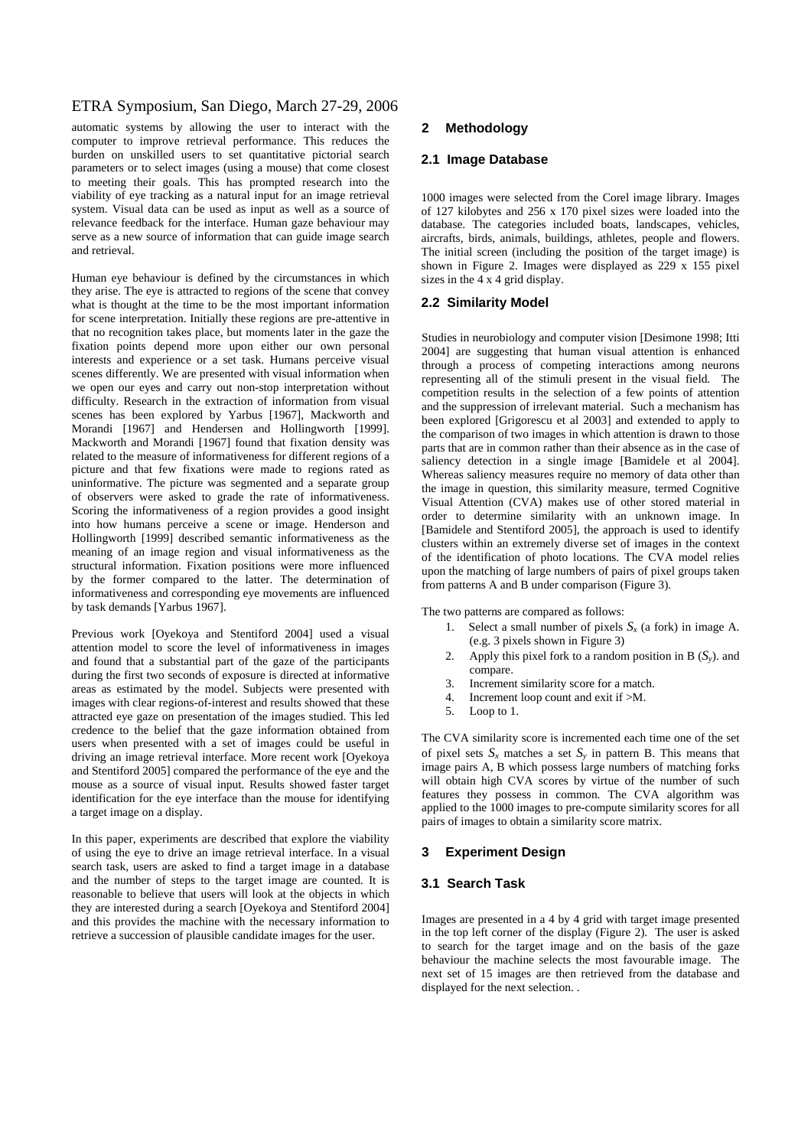automatic systems by allowing the user to interact with the computer to improve retrieval performance. This reduces the burden on unskilled users to set quantitative pictorial search parameters or to select images (using a mouse) that come closest to meeting their goals. This has prompted research into the viability of eye tracking as a natural input for an image retrieval system. Visual data can be used as input as well as a source of relevance feedback for the interface. Human gaze behaviour may serve as a new source of information that can guide image search and retrieval.

Human eye behaviour is defined by the circumstances in which they arise. The eye is attracted to regions of the scene that convey what is thought at the time to be the most important information for scene interpretation. Initially these regions are pre-attentive in that no recognition takes place, but moments later in the gaze the fixation points depend more upon either our own personal interests and experience or a set task. Humans perceive visual scenes differently. We are presented with visual information when we open our eyes and carry out non-stop interpretation without difficulty. Research in the extraction of information from visual scenes has been explored by Yarbus [1967], Mackworth and Morandi [1967] and Hendersen and Hollingworth [1999]. Mackworth and Morandi [1967] found that fixation density was related to the measure of informativeness for different regions of a picture and that few fixations were made to regions rated as uninformative. The picture was segmented and a separate group of observers were asked to grade the rate of informativeness. Scoring the informativeness of a region provides a good insight into how humans perceive a scene or image. Henderson and Hollingworth [1999] described semantic informativeness as the meaning of an image region and visual informativeness as the structural information. Fixation positions were more influenced by the former compared to the latter. The determination of informativeness and corresponding eye movements are influenced by task demands [Yarbus 1967].

Previous work [Oyekoya and Stentiford 2004] used a visual attention model to score the level of informativeness in images and found that a substantial part of the gaze of the participants during the first two seconds of exposure is directed at informative areas as estimated by the model. Subjects were presented with images with clear regions-of-interest and results showed that these attracted eye gaze on presentation of the images studied. This led credence to the belief that the gaze information obtained from users when presented with a set of images could be useful in driving an image retrieval interface. More recent work [Oyekoya and Stentiford 2005] compared the performance of the eye and the mouse as a source of visual input. Results showed faster target identification for the eye interface than the mouse for identifying a target image on a display.

In this paper, experiments are described that explore the viability of using the eye to drive an image retrieval interface. In a visual search task, users are asked to find a target image in a database and the number of steps to the target image are counted. It is reasonable to believe that users will look at the objects in which they are interested during a search [Oyekoya and Stentiford 2004] and this provides the machine with the necessary information to retrieve a succession of plausible candidate images for the user.

## **2 Methodology**

#### **2.1 Image Database**

1000 images were selected from the Corel image library. Images of 127 kilobytes and 256 x 170 pixel sizes were loaded into the database. The categories included boats, landscapes, vehicles, aircrafts, birds, animals, buildings, athletes, people and flowers. The initial screen (including the position of the target image) is shown in Figure 2. Images were displayed as 229 x 155 pixel sizes in the 4 x 4 grid display.

#### **2.2 Similarity Model**

Studies in neurobiology and computer vision [Desimone 1998; Itti 2004] are suggesting that human visual attention is enhanced through a process of competing interactions among neurons representing all of the stimuli present in the visual field. The competition results in the selection of a few points of attention and the suppression of irrelevant material. Such a mechanism has been explored [Grigorescu et al 2003] and extended to apply to the comparison of two images in which attention is drawn to those parts that are in common rather than their absence as in the case of saliency detection in a single image [Bamidele et al 2004]. Whereas saliency measures require no memory of data other than the image in question, this similarity measure, termed Cognitive Visual Attention (CVA) makes use of other stored material in order to determine similarity with an unknown image. In [Bamidele and Stentiford 2005], the approach is used to identify clusters within an extremely diverse set of images in the context of the identification of photo locations. The CVA model relies upon the matching of large numbers of pairs of pixel groups taken from patterns A and B under comparison (Figure 3).

The two patterns are compared as follows:

- 1. Select a small number of pixels  $S<sub>x</sub>$  (a fork) in image A. (e.g. 3 pixels shown in Figure 3)
- 2. Apply this pixel fork to a random position in B  $(S_y)$ . and compare.
- 3. Increment similarity score for a match.<br>4. Increment loop count and exit if  $>M$ .<br>5. Loop to 1.
- Increment loop count and exit if  $>M$ .
- Loop to 1.

The CVA similarity score is incremented each time one of the set of pixel sets  $S_x$  matches a set  $S_y$  in pattern B. This means that image pairs A, B which possess large numbers of matching forks will obtain high CVA scores by virtue of the number of such features they possess in common. The CVA algorithm was applied to the 1000 images to pre-compute similarity scores for all pairs of images to obtain a similarity score matrix.

#### **3 Experiment Design**

#### **3.1 Search Task**

Images are presented in a 4 by 4 grid with target image presented in the top left corner of the display (Figure 2). The user is asked to search for the target image and on the basis of the gaze behaviour the machine selects the most favourable image. The next set of 15 images are then retrieved from the database and displayed for the next selection. .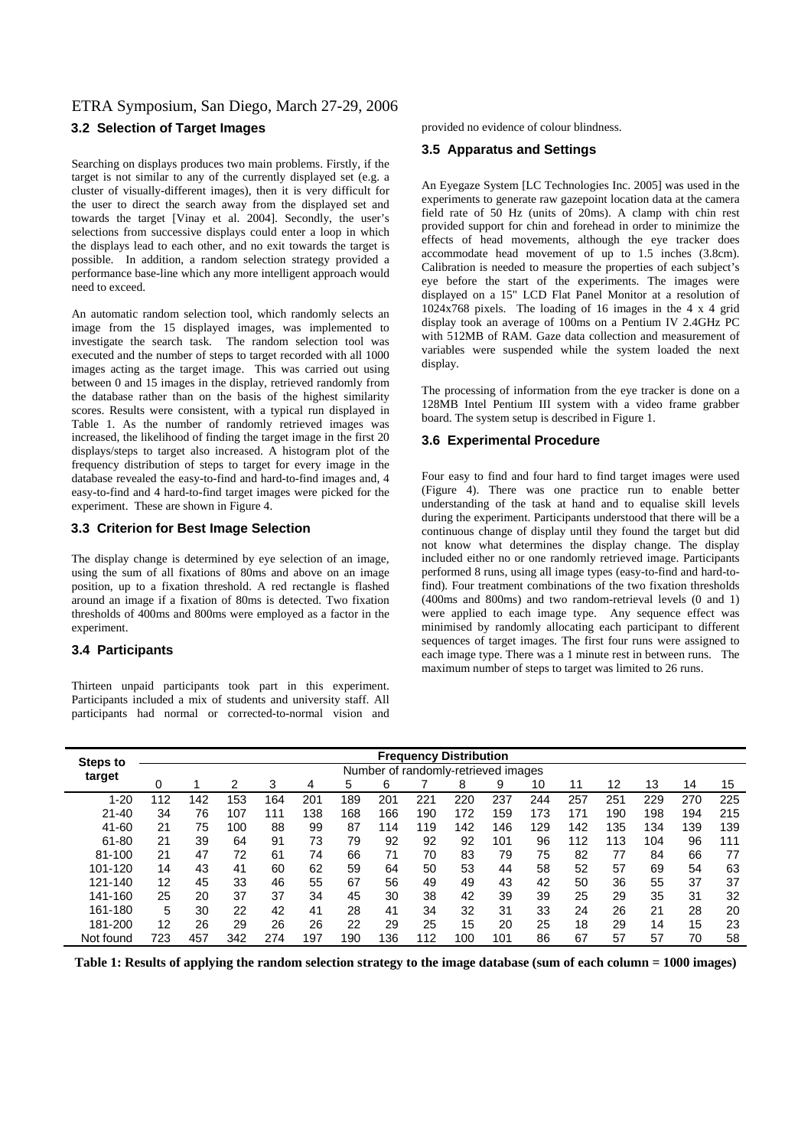# ETRA Symposium, San Diego, March 27-29, 2006 **3.2 Selection of Target Images**

Searching on displays produces two main problems. Firstly, if the target is not similar to any of the currently displayed set (e.g. a cluster of visually-different images), then it is very difficult for the user to direct the search away from the displayed set and towards the target [Vinay et al. 2004]. Secondly, the user's selections from successive displays could enter a loop in which the displays lead to each other, and no exit towards the target is possible. In addition, a random selection strategy provided a performance base-line which any more intelligent approach would need to exceed.

An automatic random selection tool, which randomly selects an image from the 15 displayed images, was implemented to investigate the search task. The random selection tool was executed and the number of steps to target recorded with all 1000 images acting as the target image. This was carried out using between 0 and 15 images in the display, retrieved randomly from the database rather than on the basis of the highest similarity scores. Results were consistent, with a typical run displayed in Table 1. As the number of randomly retrieved images was increased, the likelihood of finding the target image in the first 20 displays/steps to target also increased. A histogram plot of the frequency distribution of steps to target for every image in the database revealed the easy-to-find and hard-to-find images and, 4 easy-to-find and 4 hard-to-find target images were picked for the experiment. These are shown in Figure 4.

## **3.3 Criterion for Best Image Selection**

The display change is determined by eye selection of an image, using the sum of all fixations of 80ms and above on an image position, up to a fixation threshold. A red rectangle is flashed around an image if a fixation of 80ms is detected. Two fixation thresholds of 400ms and 800ms were employed as a factor in the experiment.

## **3.4 Participants**

Thirteen unpaid participants took part in this experiment. Participants included a mix of students and university staff. All participants had normal or corrected-to-normal vision and provided no evidence of colour blindness.

#### **3.5 Apparatus and Settings**

An Eyegaze System [LC Technologies Inc. 2005] was used in the experiments to generate raw gazepoint location data at the camera field rate of 50 Hz (units of 20ms). A clamp with chin rest provided support for chin and forehead in order to minimize the effects of head movements, although the eye tracker does accommodate head movement of up to 1.5 inches (3.8cm). Calibration is needed to measure the properties of each subject's eye before the start of the experiments. The images were displayed on a 15" LCD Flat Panel Monitor at a resolution of 1024x768 pixels. The loading of 16 images in the 4 x 4 grid display took an average of 100ms on a Pentium IV 2.4GHz PC with 512MB of RAM. Gaze data collection and measurement of variables were suspended while the system loaded the next display.

The processing of information from the eye tracker is done on a 128MB Intel Pentium III system with a video frame grabber board. The system setup is described in Figure 1.

#### **3.6 Experimental Procedure**

Four easy to find and four hard to find target images were used (Figure 4). There was one practice run to enable better understanding of the task at hand and to equalise skill levels during the experiment. Participants understood that there will be a continuous change of display until they found the target but did not know what determines the display change. The display included either no or one randomly retrieved image. Participants performed 8 runs, using all image types (easy-to-find and hard-tofind). Four treatment combinations of the two fixation thresholds (400ms and 800ms) and two random-retrieval levels (0 and 1) were applied to each image type. Any sequence effect was minimised by randomly allocating each participant to different sequences of target images. The first four runs were assigned to each image type. There was a 1 minute rest in between runs. The maximum number of steps to target was limited to 26 runs.

| <b>Steps to</b> | <b>Frequency Distribution</b>       |     |     |     |     |     |     |     |     |     |     |     |     |     |     |     |
|-----------------|-------------------------------------|-----|-----|-----|-----|-----|-----|-----|-----|-----|-----|-----|-----|-----|-----|-----|
| target          | Number of randomly-retrieved images |     |     |     |     |     |     |     |     |     |     |     |     |     |     |     |
|                 | 0                                   |     | 2   | 3   | 4   | 5   | 6   |     | 8   | 9   | 10  | 11  | 12  | 13  | 14  | 15  |
| $1 - 20$        | 112                                 | 142 | 153 | 164 | 201 | 189 | 201 | 221 | 220 | 237 | 244 | 257 | 251 | 229 | 270 | 225 |
| $21 - 40$       | 34                                  | 76  | 107 | 111 | 138 | 168 | 166 | 190 | 172 | 159 | 173 | 171 | 190 | 198 | 194 | 215 |
| 41-60           | 21                                  | 75  | 100 | 88  | 99  | 87  | 114 | 119 | 142 | 146 | 129 | 142 | 135 | 134 | 139 | 139 |
| 61-80           | 21                                  | 39  | 64  | 91  | 73  | 79  | 92  | 92  | 92  | 101 | 96  | 112 | 113 | 104 | 96  | 111 |
| 81-100          | 21                                  | 47  | 72  | 61  | 74  | 66  | 71  | 70  | 83  | 79  | 75  | 82  | 77  | 84  | 66  | 77  |
| 101-120         | 14                                  | 43  | 41  | 60  | 62  | 59  | 64  | 50  | 53  | 44  | 58  | 52  | 57  | 69  | 54  | 63  |
| 121-140         | 12                                  | 45  | 33  | 46  | 55  | 67  | 56  | 49  | 49  | 43  | 42  | 50  | 36  | 55  | 37  | 37  |
| 141-160         | 25                                  | 20  | 37  | 37  | 34  | 45  | 30  | 38  | 42  | 39  | 39  | 25  | 29  | 35  | 31  | 32  |
| 161-180         | 5                                   | 30  | 22  | 42  | 41  | 28  | 41  | 34  | 32  | 31  | 33  | 24  | 26  | 21  | 28  | 20  |
| 181-200         | 12                                  | 26  | 29  | 26  | 26  | 22  | 29  | 25  | 15  | 20  | 25  | 18  | 29  | 14  | 15  | 23  |
| Not found       | 723                                 | 457 | 342 | 274 | 197 | 190 | 136 | 112 | 100 | 101 | 86  | 67  | 57  | 57  | 70  | 58  |

**Table 1: Results of applying the random selection strategy to the image database (sum of each column = 1000 images)**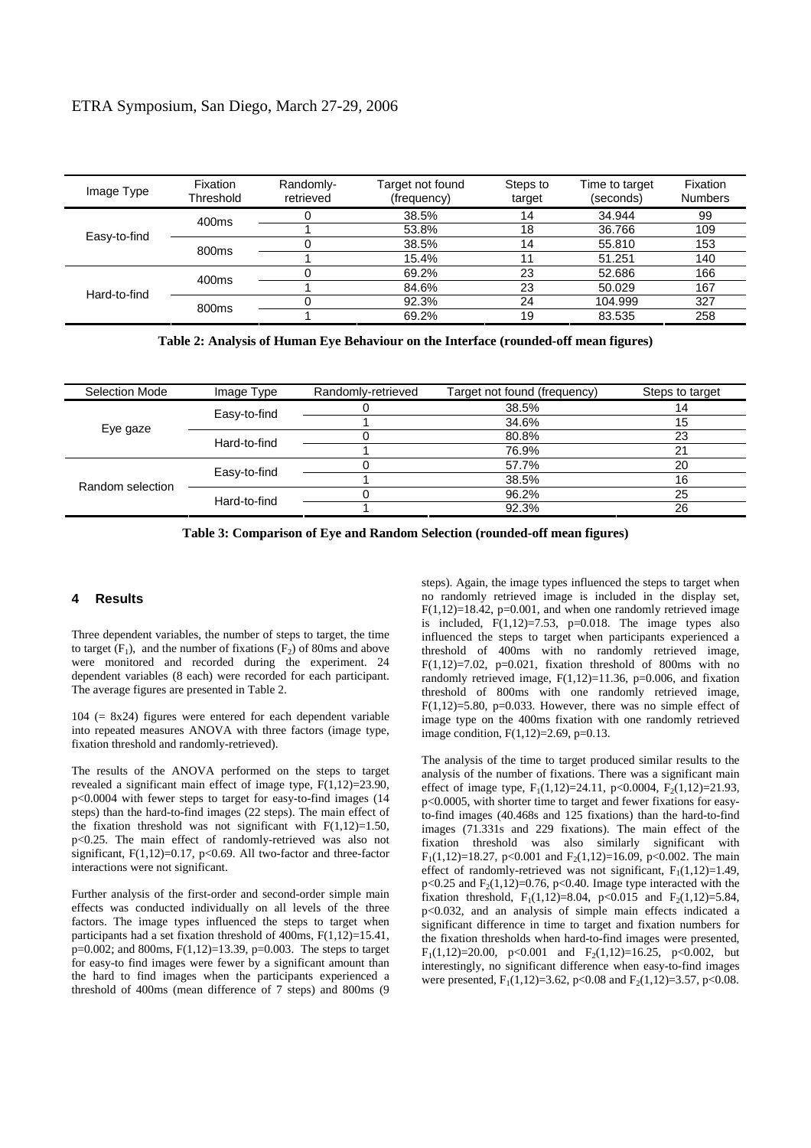| Image Type   | <b>Fixation</b><br>Threshold | Randomly-<br>retrieved | Target not found<br>(frequency) | Steps to<br>target | Time to target<br>(seconds) | Fixation<br><b>Numbers</b> |
|--------------|------------------------------|------------------------|---------------------------------|--------------------|-----------------------------|----------------------------|
|              | 400ms                        |                        | 38.5%                           | 14                 | 34.944                      | 99                         |
| Easy-to-find |                              |                        | 53.8%                           | 18                 | 36.766                      | 109                        |
|              | 800 <sub>ms</sub>            |                        | 38.5%                           | 14                 | 55.810                      | 153                        |
|              |                              |                        | 15.4%                           |                    | 51.251                      | 140                        |
|              | 400ms                        |                        | 69.2%                           | 23                 | 52.686                      | 166                        |
| Hard-to-find |                              |                        | 84.6%                           | 23                 | 50.029                      | 167                        |
|              | 800 <sub>ms</sub>            |                        | 92.3%                           | 24                 | 104.999                     | 327                        |
|              |                              |                        | 69.2%                           | 19                 | 83.535                      | 258                        |

**Table 2: Analysis of Human Eye Behaviour on the Interface (rounded-off mean figures)** 

| <b>Selection Mode</b> | Image Type   | Randomly-retrieved | Target not found (frequency) | Steps to target |  |
|-----------------------|--------------|--------------------|------------------------------|-----------------|--|
|                       | Easy-to-find |                    | 38.5%                        | 14              |  |
| Eye gaze              |              |                    | 34.6%                        | 15              |  |
|                       | Hard-to-find |                    | 80.8%                        | 23              |  |
|                       |              |                    | 76.9%                        | 21              |  |
|                       | Easy-to-find |                    | 57.7%                        | 20              |  |
| Random selection      |              |                    | 38.5%                        | 16              |  |
|                       | Hard-to-find |                    | 96.2%                        | 25              |  |
|                       |              |                    | 92.3%                        | 26              |  |

**Table 3: Comparison of Eye and Random Selection (rounded-off mean figures)**

#### **4 Results**

Three dependent variables, the number of steps to target, the time to target  $(F_1)$ , and the number of fixations  $(F_2)$  of 80ms and above were monitored and recorded during the experiment. 24 dependent variables (8 each) were recorded for each participant. The average figures are presented in Table 2.

104 (= 8x24) figures were entered for each dependent variable into repeated measures ANOVA with three factors (image type, fixation threshold and randomly-retrieved).

The results of the ANOVA performed on the steps to target revealed a significant main effect of image type, F(1,12)=23.90, p<0.0004 with fewer steps to target for easy-to-find images (14 steps) than the hard-to-find images (22 steps). The main effect of the fixation threshold was not significant with  $F(1,12)=1.50$ , p<0.25. The main effect of randomly-retrieved was also not significant,  $F(1,12)=0.17$ ,  $p<0.69$ . All two-factor and three-factor interactions were not significant.

Further analysis of the first-order and second-order simple main effects was conducted individually on all levels of the three factors. The image types influenced the steps to target when participants had a set fixation threshold of 400ms,  $F(1,12)=15.41$ ,  $p=0.002$ ; and 800ms,  $F(1,12)=13.39$ ,  $p=0.003$ . The steps to target for easy-to find images were fewer by a significant amount than the hard to find images when the participants experienced a threshold of 400ms (mean difference of 7 steps) and 800ms (9

steps). Again, the image types influenced the steps to target when no randomly retrieved image is included in the display set,  $F(1,12)=18.42$ ,  $p=0.001$ , and when one randomly retrieved image is included,  $F(1,12)=7.53$ ,  $p=0.018$ . The image types also influenced the steps to target when participants experienced a threshold of 400ms with no randomly retrieved image,  $F(1,12)=7.02$ ,  $p=0.021$ , fixation threshold of 800ms with no randomly retrieved image, F(1,12)=11.36, p=0.006, and fixation threshold of 800ms with one randomly retrieved image,  $F(1,12)=5.80$ ,  $p=0.033$ . However, there was no simple effect of image type on the 400ms fixation with one randomly retrieved image condition, F(1,12)=2.69, p=0.13.

The analysis of the time to target produced similar results to the analysis of the number of fixations. There was a significant main effect of image type,  $F_1(1,12)=24.11$ , p<0.0004,  $F_2(1,12)=21.93$ , p<0.0005, with shorter time to target and fewer fixations for easyto-find images (40.468s and 125 fixations) than the hard-to-find images (71.331s and 229 fixations). The main effect of the fixation threshold was also similarly significant with  $F_1(1,12)=18.27$ , p<0.001 and  $F_2(1,12)=16.09$ , p<0.002. The main effect of randomly-retrieved was not significant,  $F_1(1,12)=1.49$ ,  $p<0.25$  and  $F<sub>2</sub>(1,12)=0.76$ ,  $p<0.40$ . Image type interacted with the fixation threshold,  $F_1(1,12)=8.04$ ,  $p<0.015$  and  $F_2(1,12)=5.84$ , p<0.032, and an analysis of simple main effects indicated a significant difference in time to target and fixation numbers for the fixation thresholds when hard-to-find images were presented,  $F_1(1,12)=20.00$ ,  $p<0.001$  and  $F_2(1,12)=16.25$ ,  $p<0.002$ , but interestingly, no significant difference when easy-to-find images were presented,  $F_1(1.12)=3.62$ , p $\lt 0.08$  and  $F_2(1.12)=3.57$ , p $\lt 0.08$ .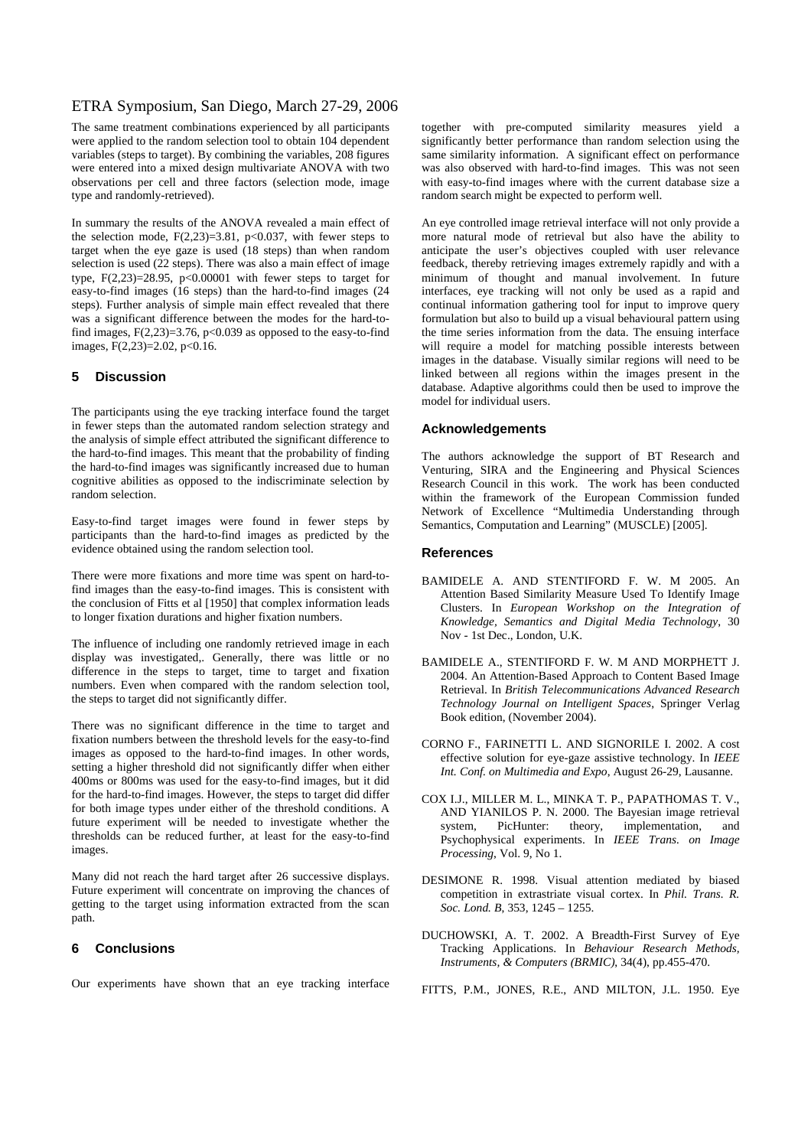The same treatment combinations experienced by all participants were applied to the random selection tool to obtain 104 dependent variables (steps to target). By combining the variables, 208 figures were entered into a mixed design multivariate ANOVA with two observations per cell and three factors (selection mode, image type and randomly-retrieved).

In summary the results of the ANOVA revealed a main effect of the selection mode,  $F(2,23)=3.81$ ,  $p<0.037$ , with fewer steps to target when the eye gaze is used (18 steps) than when random selection is used (22 steps). There was also a main effect of image type,  $F(2,23)=28.95$ ,  $p<0.00001$  with fewer steps to target for easy-to-find images (16 steps) than the hard-to-find images (24 steps). Further analysis of simple main effect revealed that there was a significant difference between the modes for the hard-tofind images,  $F(2,23)=3.76$ ,  $p<0.039$  as opposed to the easy-to-find images, F(2,23)=2.02, p<0.16.

#### **5 Discussion**

The participants using the eye tracking interface found the target in fewer steps than the automated random selection strategy and the analysis of simple effect attributed the significant difference to the hard-to-find images. This meant that the probability of finding the hard-to-find images was significantly increased due to human cognitive abilities as opposed to the indiscriminate selection by random selection.

Easy-to-find target images were found in fewer steps by participants than the hard-to-find images as predicted by the evidence obtained using the random selection tool.

There were more fixations and more time was spent on hard-tofind images than the easy-to-find images. This is consistent with the conclusion of Fitts et al [1950] that complex information leads to longer fixation durations and higher fixation numbers.

The influence of including one randomly retrieved image in each display was investigated,. Generally, there was little or no difference in the steps to target, time to target and fixation numbers. Even when compared with the random selection tool, the steps to target did not significantly differ.

There was no significant difference in the time to target and fixation numbers between the threshold levels for the easy-to-find images as opposed to the hard-to-find images. In other words, setting a higher threshold did not significantly differ when either 400ms or 800ms was used for the easy-to-find images, but it did for the hard-to-find images. However, the steps to target did differ for both image types under either of the threshold conditions. A future experiment will be needed to investigate whether the thresholds can be reduced further, at least for the easy-to-find images.

Many did not reach the hard target after 26 successive displays. Future experiment will concentrate on improving the chances of getting to the target using information extracted from the scan path.

#### **6 Conclusions**

Our experiments have shown that an eye tracking interface

together with pre-computed similarity measures yield a significantly better performance than random selection using the same similarity information. A significant effect on performance was also observed with hard-to-find images. This was not seen with easy-to-find images where with the current database size a random search might be expected to perform well.

An eye controlled image retrieval interface will not only provide a more natural mode of retrieval but also have the ability to anticipate the user's objectives coupled with user relevance feedback, thereby retrieving images extremely rapidly and with a minimum of thought and manual involvement. In future interfaces, eye tracking will not only be used as a rapid and continual information gathering tool for input to improve query formulation but also to build up a visual behavioural pattern using the time series information from the data. The ensuing interface will require a model for matching possible interests between images in the database. Visually similar regions will need to be linked between all regions within the images present in the database. Adaptive algorithms could then be used to improve the model for individual users.

#### **Acknowledgements**

The authors acknowledge the support of BT Research and Venturing, SIRA and the Engineering and Physical Sciences Research Council in this work. The work has been conducted within the framework of the European Commission funded Network of Excellence "Multimedia Understanding through Semantics, Computation and Learning" (MUSCLE) [2005].

#### **References**

- BAMIDELE A. AND STENTIFORD F. W. M 2005. An Attention Based Similarity Measure Used To Identify Image Clusters. In *European Workshop on the Integration of Knowledge, Semantics and Digital Media Technology*, 30 Nov - 1st Dec., London, U.K.
- BAMIDELE A., STENTIFORD F. W. M AND MORPHETT J. 2004. An Attention-Based Approach to Content Based Image Retrieval. In *British Telecommunications Advanced Research Technology Journal on Intelligent Spaces*, Springer Verlag Book edition, (November 2004).
- CORNO F., FARINETTI L. AND SIGNORILE I. 2002. A cost effective solution for eye-gaze assistive technology. In *IEEE Int. Conf. on Multimedia and Expo*, August 26-29, Lausanne.
- COX I.J., MILLER M. L., MINKA T. P., PAPATHOMAS T. V., AND YIANILOS P. N. 2000. The Bayesian image retrieval system, PicHunter: theory, implementation, and system, PicHunter: theory, implementation, and Psychophysical experiments. In *IEEE Trans. on Image Processing*, Vol. 9, No 1.
- DESIMONE R. 1998. Visual attention mediated by biased competition in extrastriate visual cortex. In *Phil. Trans. R. Soc. Lond. B*, 353, 1245 – 1255.
- DUCHOWSKI, A. T. 2002. A Breadth-First Survey of Eye Tracking Applications. In *Behaviour Research Methods, Instruments, & Computers (BRMIC)*, 34(4), pp.455-470.
- FITTS, P.M., JONES, R.E., AND MILTON, J.L. 1950. Eye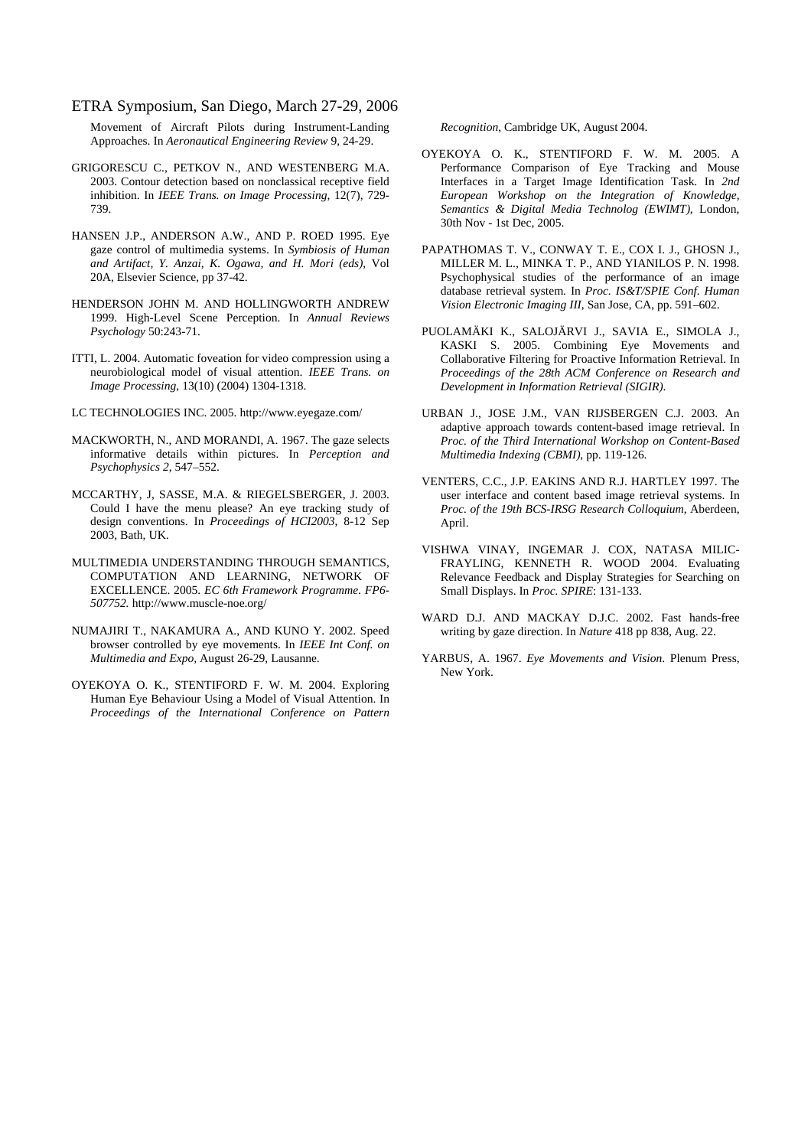Movement of Aircraft Pilots during Instrument-Landing Approaches. In *Aeronautical Engineering Review* 9, 24-29.

- GRIGORESCU C., PETKOV N., AND WESTENBERG M.A. 2003. Contour detection based on nonclassical receptive field inhibition. In *IEEE Trans. on Image Processing*, 12(7), 729- 739.
- HANSEN J.P., ANDERSON A.W., AND P. ROED 1995. Eye gaze control of multimedia systems. In *Symbiosis of Human and Artifact, Y. Anzai, K. Ogawa, and H. Mori (eds)*, Vol 20A, Elsevier Science, pp 37-42.
- HENDERSON JOHN M. AND HOLLINGWORTH ANDREW 1999. High-Level Scene Perception. In *Annual Reviews Psychology* 50:243-71.
- ITTI, L. 2004. Automatic foveation for video compression using a neurobiological model of visual attention. *IEEE Trans. on Image Processing*, 13(10) (2004) 1304-1318.
- LC TECHNOLOGIES INC. 2005. http://www.eyegaze.com/
- MACKWORTH, N., AND MORANDI, A. 1967. The gaze selects informative details within pictures. In *Perception and Psychophysics 2*, 547–552.
- MCCARTHY, J, SASSE, M.A. & RIEGELSBERGER, J. 2003. Could I have the menu please? An eye tracking study of design conventions. In *Proceedings of HCI2003*, 8-12 Sep 2003, Bath, UK.
- MULTIMEDIA UNDERSTANDING THROUGH SEMANTICS, COMPUTATION AND LEARNING, NETWORK OF EXCELLENCE. 2005. *EC 6th Framework Programme. FP6- 507752.* http://www.muscle-noe.org/
- NUMAJIRI T., NAKAMURA A., AND KUNO Y. 2002. Speed browser controlled by eye movements. In *IEEE Int Conf. on Multimedia and Expo,* August 26-29, Lausanne.
- OYEKOYA O. K., STENTIFORD F. W. M. 2004. Exploring Human Eye Behaviour Using a Model of Visual Attention. In *Proceedings of the International Conference on Pattern*

*Recognition*, Cambridge UK, August 2004.

- OYEKOYA O. K., STENTIFORD F. W. M. 2005. A Performance Comparison of Eye Tracking and Mouse Interfaces in a Target Image Identification Task. In *2nd European Workshop on the Integration of Knowledge, Semantics & Digital Media Technolog (EWIMT)*, London, 30th Nov - 1st Dec, 2005.
- PAPATHOMAS T. V., CONWAY T. E., COX I. J., GHOSN J., MILLER M. L., MINKA T. P., AND YIANILOS P. N. 1998. Psychophysical studies of the performance of an image database retrieval system. In *Proc. IS&T/SPIE Conf. Human Vision Electronic Imaging III*, San Jose, CA, pp. 591–602.
- PUOLAMÄKI K., SALOJÄRVI J., SAVIA E., SIMOLA J., KASKI S. 2005. Combining Eye Movements and Collaborative Filtering for Proactive Information Retrieval. In *Proceedings of the 28th ACM Conference on Research and Development in Information Retrieval (SIGIR)*.
- URBAN J., JOSE J.M., VAN RIJSBERGEN C.J. 2003. An adaptive approach towards content-based image retrieval. In *Proc. of the Third International Workshop on Content-Based Multimedia Indexing (CBMI)*, pp. 119-126.
- VENTERS, C.C., J.P. EAKINS AND R.J. HARTLEY 1997. The user interface and content based image retrieval systems. In *Proc. of the 19th BCS-IRSG Research Colloquium*, Aberdeen, April.
- VISHWA VINAY, INGEMAR J. COX, NATASA MILIC-FRAYLING, KENNETH R. WOOD 2004. Evaluating Relevance Feedback and Display Strategies for Searching on Small Displays. In *Proc. SPIRE*: 131-133.
- WARD D.J. AND MACKAY D.J.C. 2002. Fast hands-free writing by gaze direction. In *Nature* 418 pp 838, Aug. 22.
- YARBUS, A. 1967. *Eye Movements and Vision*. Plenum Press, New York.